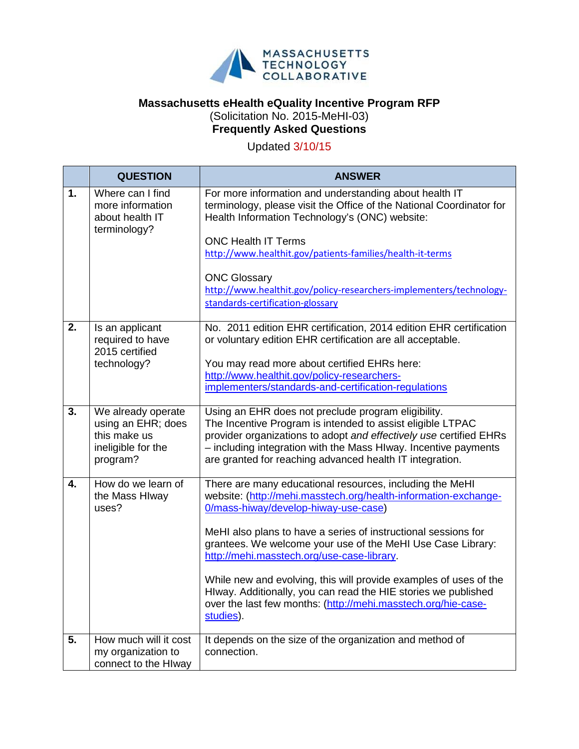

## **Massachusetts eHealth eQuality Incentive Program RFP** (Solicitation No. 2015-MeHI-03) **Frequently Asked Questions**

Updated 3/10/15

|    | <b>QUESTION</b>                                                                            | <b>ANSWER</b>                                                                                                                                                                                                                                                                                                                                                                                                                                                                                                                                                           |
|----|--------------------------------------------------------------------------------------------|-------------------------------------------------------------------------------------------------------------------------------------------------------------------------------------------------------------------------------------------------------------------------------------------------------------------------------------------------------------------------------------------------------------------------------------------------------------------------------------------------------------------------------------------------------------------------|
| 1. | Where can I find<br>more information<br>about health IT<br>terminology?                    | For more information and understanding about health IT<br>terminology, please visit the Office of the National Coordinator for<br>Health Information Technology's (ONC) website:<br><b>ONC Health IT Terms</b><br>http://www.healthit.gov/patients-families/health-it-terms                                                                                                                                                                                                                                                                                             |
|    |                                                                                            | <b>ONC Glossary</b><br>http://www.healthit.gov/policy-researchers-implementers/technology-<br>standards-certification-glossary                                                                                                                                                                                                                                                                                                                                                                                                                                          |
| 2. | Is an applicant<br>required to have<br>2015 certified<br>technology?                       | No. 2011 edition EHR certification, 2014 edition EHR certification<br>or voluntary edition EHR certification are all acceptable.<br>You may read more about certified EHRs here:<br>http://www.healthit.gov/policy-researchers-<br>implementers/standards-and-certification-regulations                                                                                                                                                                                                                                                                                 |
| 3. | We already operate<br>using an EHR; does<br>this make us<br>ineligible for the<br>program? | Using an EHR does not preclude program eligibility.<br>The Incentive Program is intended to assist eligible LTPAC<br>provider organizations to adopt and effectively use certified EHRs<br>- including integration with the Mass HIway. Incentive payments<br>are granted for reaching advanced health IT integration.                                                                                                                                                                                                                                                  |
| 4. | How do we learn of<br>the Mass Hlway<br>uses?                                              | There are many educational resources, including the MeHI<br>website: (http://mehi.masstech.org/health-information-exchange-<br>0/mass-hiway/develop-hiway-use-case)<br>MeHI also plans to have a series of instructional sessions for<br>grantees. We welcome your use of the MeHI Use Case Library:<br>http://mehi.masstech.org/use-case-library.<br>While new and evolving, this will provide examples of uses of the<br>Hlway. Additionally, you can read the HIE stories we published<br>over the last few months: (http://mehi.masstech.org/hie-case-<br>studies). |
| 5. | How much will it cost<br>my organization to<br>connect to the Hlway                        | It depends on the size of the organization and method of<br>connection.                                                                                                                                                                                                                                                                                                                                                                                                                                                                                                 |